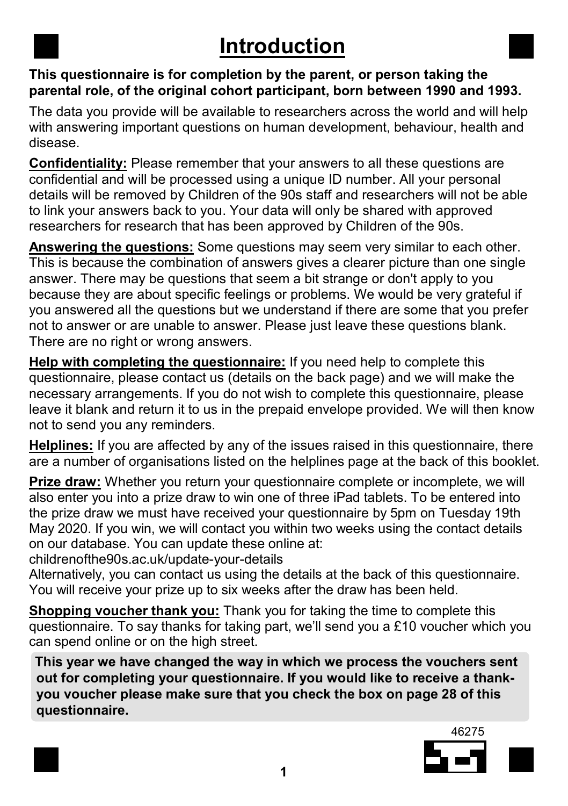## Introduction

#### This questionnaire is for completion by the parent, or person taking the parental role, of the original cohort participant, born between 1990 and 1993.

The data you provide will be available to researchers across the world and will help with answering important questions on human development, behaviour, health and disease.

Confidentiality: Please remember that your answers to all these questions are confidential and will be processed using a unique ID number. All your personal details will be removed by Children of the 90s staff and researchers will not be able to link your answers back to you. Your data will only be shared with approved researchers for research that has been approved by Children of the 90s.

Answering the questions: Some questions may seem very similar to each other. This is because the combination of answers gives a clearer picture than one single answer. There may be questions that seem a bit strange or don't apply to you because they are about specific feelings or problems. We would be very grateful if you answered all the questions but we understand if there are some that you prefer not to answer or are unable to answer. Please just leave these questions blank. There are no right or wrong answers.

Help with completing the questionnaire: If you need help to complete this questionnaire, please contact us (details on the back page) and we will make the necessary arrangements. If you do not wish to complete this questionnaire, please leave it blank and return it to us in the prepaid envelope provided. We will then know not to send you any reminders.

Helplines: If you are affected by any of the issues raised in this questionnaire, there are a number of organisations listed on the helplines page at the back of this booklet.

Prize draw: Whether you return your questionnaire complete or incomplete, we will also enter you into a prize draw to win one of three iPad tablets. To be entered into the prize draw we must have received your questionnaire by 5pm on Tuesday 19th May 2020. If you win, we will contact you within two weeks using the contact details on our database. You can update these online at:

childrenofthe90s.ac.uk/update-your-details

Alternatively, you can contact us using the details at the back of this questionnaire. You will receive your prize up to six weeks after the draw has been held.

Shopping voucher thank you: Thank you for taking the time to complete this questionnaire. To say thanks for taking part, we'll send you a £10 voucher which you can spend online or on the high street.

 This year we have changed the way in which we process the vouchers sent out for completing your questionnaire. If you would like to receive a thank you voucher please make sure that you check the box on page 28 of this questionnaire.

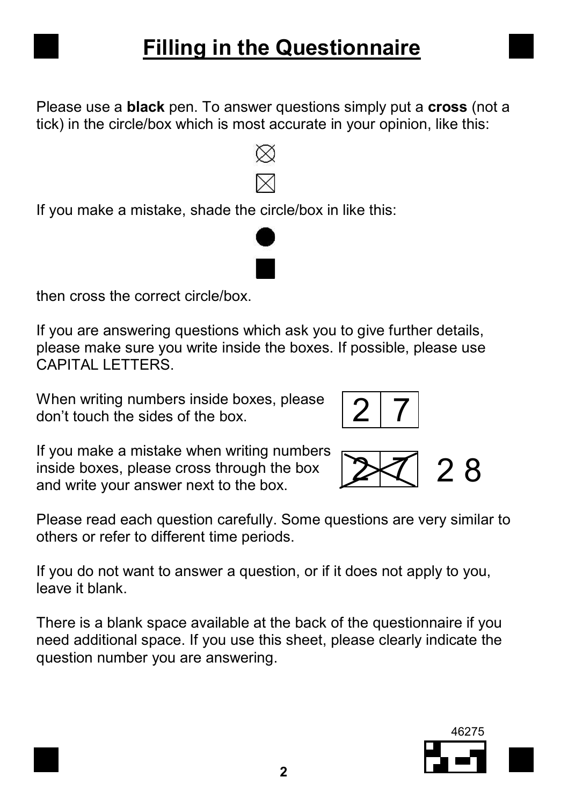

Please use a **black** pen. To answer questions simply put a **cross** (not a tick) in the circle/box which is most accurate in your opinion, like this:

If you make a mistake, shade the circle/box in like this:

then cross the correct circle/box.

If you are answering questions which ask you to give further details, please make sure you write inside the boxes. If possible, please use CAPITAL LETTERS.

When writing numbers inside boxes, please don't touch the sides of the box.

If you make a mistake when writing numbers inside boxes, please cross through the box and write your answer next to the box.

Please read each question carefully. Some questions are very similar to others or refer to different time periods.

If you do not want to answer a question, or if it does not apply to you, leave it blank.

There is a blank space available at the back of the questionnaire if you need additional space. If you use this sheet, please clearly indicate the question number you are answering.



2 R





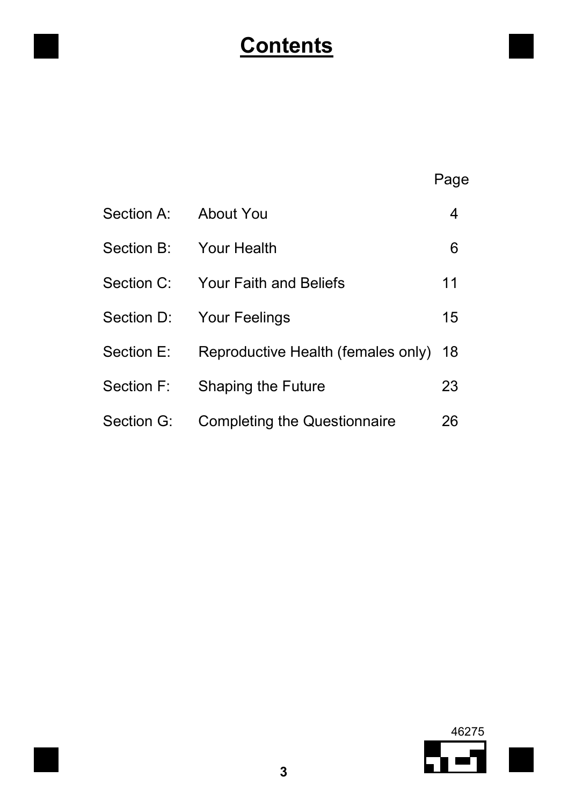# **Contents**

|            |                                     | Page |
|------------|-------------------------------------|------|
| Section A: | About You                           | 4    |
| Section B: | <b>Your Health</b>                  | 6    |
| Section C: | <b>Your Faith and Beliefs</b>       | 11   |
| Section D: | <b>Your Feelings</b>                | 15   |
| Section E: | Reproductive Health (females only)  | 18   |
| Section F: | Shaping the Future                  | 23   |
| Section G: | <b>Completing the Questionnaire</b> | 26   |

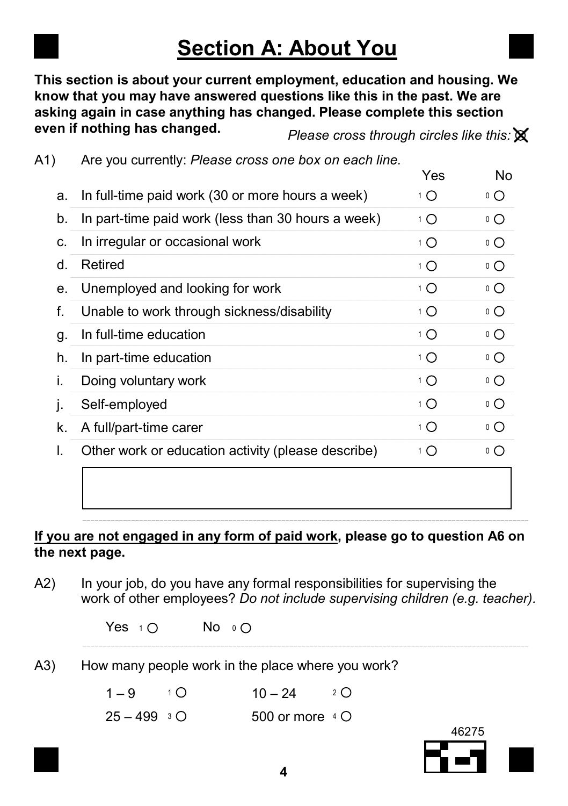## Section A: About You

This section is about your current employment, education and housing. We know that you may have answered questions like this in the past. We are asking again in case anything has changed. Please complete this section even if nothing has changed.

A1) Are you currently: Please cross one box on each line.

Please cross through circles like this:  $\mathbb X$ 

|    | $1.40$ you can only . Though or occurs one work on buon milo. | Yes              | <b>No</b>       |
|----|---------------------------------------------------------------|------------------|-----------------|
| a. | In full-time paid work (30 or more hours a week)              | 1 O              | $\circ$ O       |
| b. | In part-time paid work (less than 30 hours a week)            | $1\Omega$        | ٥O              |
| C. | In irregular or occasional work                               | 1 $\bigcirc$     | $\circ$ $\circ$ |
| d. | Retired                                                       | $1\Omega$        | ٥O              |
| е. | Unemployed and looking for work                               | $1\Omega$        | $\circ$ $\circ$ |
| f. | Unable to work through sickness/disability                    | $1^1$ $\bigcirc$ | $\circ$ O       |
| g. | In full-time education                                        | $1^{\circ}$      | $\circ$ $\circ$ |
| h. | In part-time education                                        | 1 O              | $^{\circ}$ O    |
| i. | Doing voluntary work                                          | $1\bigcap$       | $\circ$ $\circ$ |
| j. | Self-employed                                                 | 1 O              | $\circ$ O       |
| k. | A full/part-time carer                                        | 1 $\bigcirc$     | $\circ$ $\circ$ |
| I. | Other work or education activity (please describe)            | 1 O              | $\circ$ O       |
|    |                                                               |                  |                 |
|    |                                                               |                  |                 |
|    |                                                               |                  |                 |

#### If you are not engaged in any form of paid work, please go to question A6 on the next page.

A2) In your job, do you have any formal responsibilities for supervising the work of other employees? Do not include supervising children (e.g. teacher).

| Yes $10$ |  |  | No $\circ$ O |
|----------|--|--|--------------|
|----------|--|--|--------------|

A3) How many people work in the place where you work?

 $1 - 9$   $10$  $10 - 24$  2 O

 $25 - 499 = 30$ 500 or more  $4 \Omega$ 



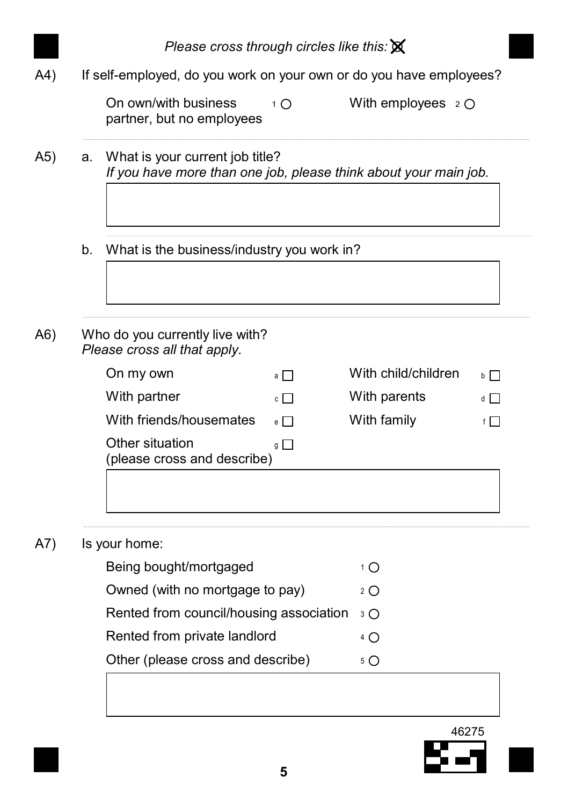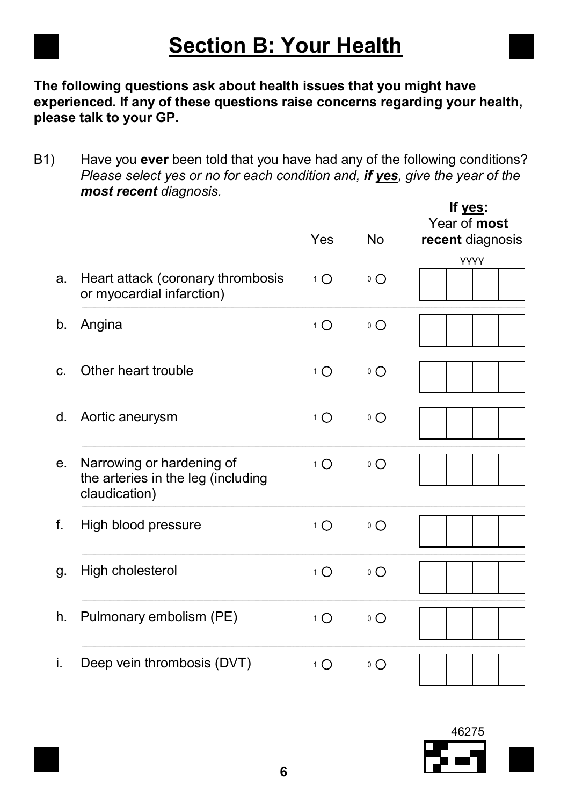| <b>Section B: Your Health</b> |
|-------------------------------|
|-------------------------------|

The following questions ask about health issues that you might have experienced. If any of these questions raise concerns regarding your health, please talk to your GP.

B1) Have you ever been told that you have had any of the following conditions? Please select yes or no for each condition and, if yes, give the year of the most recent diagnosis.

|    |                                                                                  | <b>Yes</b>       | <b>No</b>       | If yes:<br>Year of most<br>recent diagnosis |
|----|----------------------------------------------------------------------------------|------------------|-----------------|---------------------------------------------|
| a. | Heart attack (coronary thrombosis<br>or myocardial infarction)                   | $1\Omega$        | $\circ$ $\circ$ | <b>YYYY</b>                                 |
| b. | Angina                                                                           | $1^{\circ}$      | $\circ$ $\circ$ |                                             |
| C. | Other heart trouble                                                              | $1^{\circ}$      | $\circ$ $\circ$ |                                             |
| d. | Aortic aneurysm                                                                  | $1^{\circ}$      | $\circ$ $\circ$ |                                             |
| е. | Narrowing or hardening of<br>the arteries in the leg (including<br>claudication) | $1^1$ $\bigcirc$ | $^0$ O          |                                             |
| f. | High blood pressure                                                              | $1^{\circ}$      | $\circ$ O       |                                             |
| g. | High cholesterol                                                                 | $1^{\circ}$      | $\circ$ O       |                                             |
| h. | Pulmonary embolism (PE)                                                          | $1^{\circ}$      | $\circ$ $\circ$ |                                             |
| i. | Deep vein thrombosis (DVT)                                                       | $1\Omega$        | $\circ$ $\circ$ |                                             |

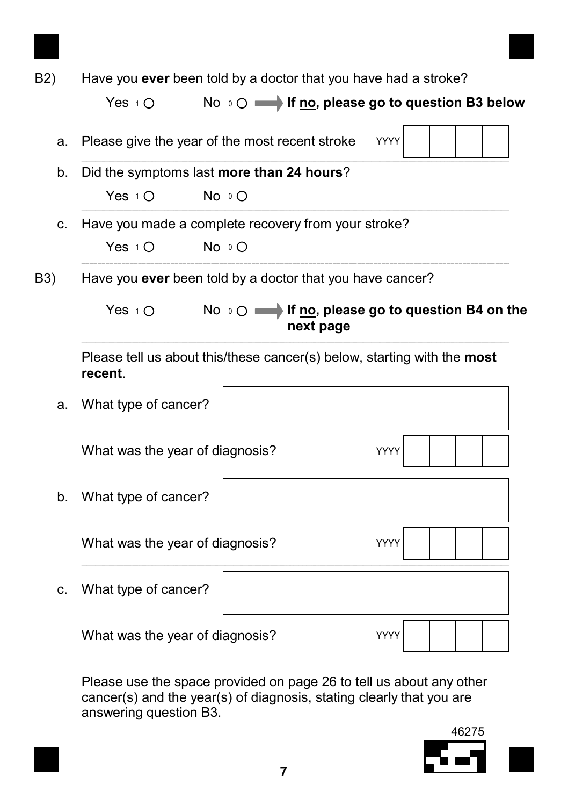| Yes $1$ O            |           |                                                                                                                                                                                                                                                                                                                                                                                                                                                                                                                                                                                                                                                                   |
|----------------------|-----------|-------------------------------------------------------------------------------------------------------------------------------------------------------------------------------------------------------------------------------------------------------------------------------------------------------------------------------------------------------------------------------------------------------------------------------------------------------------------------------------------------------------------------------------------------------------------------------------------------------------------------------------------------------------------|
|                      |           | YYYY                                                                                                                                                                                                                                                                                                                                                                                                                                                                                                                                                                                                                                                              |
|                      |           |                                                                                                                                                                                                                                                                                                                                                                                                                                                                                                                                                                                                                                                                   |
| Yes $1\bigcap$       |           |                                                                                                                                                                                                                                                                                                                                                                                                                                                                                                                                                                                                                                                                   |
|                      |           |                                                                                                                                                                                                                                                                                                                                                                                                                                                                                                                                                                                                                                                                   |
| Yes $1^\circ$ O      |           |                                                                                                                                                                                                                                                                                                                                                                                                                                                                                                                                                                                                                                                                   |
|                      |           |                                                                                                                                                                                                                                                                                                                                                                                                                                                                                                                                                                                                                                                                   |
| Yes $1$ $\bigcirc$   | next page |                                                                                                                                                                                                                                                                                                                                                                                                                                                                                                                                                                                                                                                                   |
| recent.              |           |                                                                                                                                                                                                                                                                                                                                                                                                                                                                                                                                                                                                                                                                   |
| What type of cancer? |           |                                                                                                                                                                                                                                                                                                                                                                                                                                                                                                                                                                                                                                                                   |
|                      |           | YYYY                                                                                                                                                                                                                                                                                                                                                                                                                                                                                                                                                                                                                                                              |
| What type of cancer? |           |                                                                                                                                                                                                                                                                                                                                                                                                                                                                                                                                                                                                                                                                   |
|                      |           | YYYY                                                                                                                                                                                                                                                                                                                                                                                                                                                                                                                                                                                                                                                              |
| What type of cancer? |           |                                                                                                                                                                                                                                                                                                                                                                                                                                                                                                                                                                                                                                                                   |
|                      |           | YYYY                                                                                                                                                                                                                                                                                                                                                                                                                                                                                                                                                                                                                                                              |
|                      |           | Have you ever been told by a doctor that you have had a stroke?<br>No $\circ$ $\circ$ $\longrightarrow$ If no, please go to question B3 below<br>Please give the year of the most recent stroke<br>Did the symptoms last more than 24 hours?<br>No $\circ$ $\circ$<br>Have you made a complete recovery from your stroke?<br>No O<br>Have you ever been told by a doctor that you have cancer?<br>No $\circ$ $\circ$ $\longrightarrow$ If no, please go to question B4 on the<br>Please tell us about this/these cancer(s) below, starting with the most<br>What was the year of diagnosis?<br>What was the year of diagnosis?<br>What was the year of diagnosis? |

Please use the space provided on page 26 to tell us about any other cancer(s) and the year(s) of diagnosis, stating clearly that you are answering question B3.

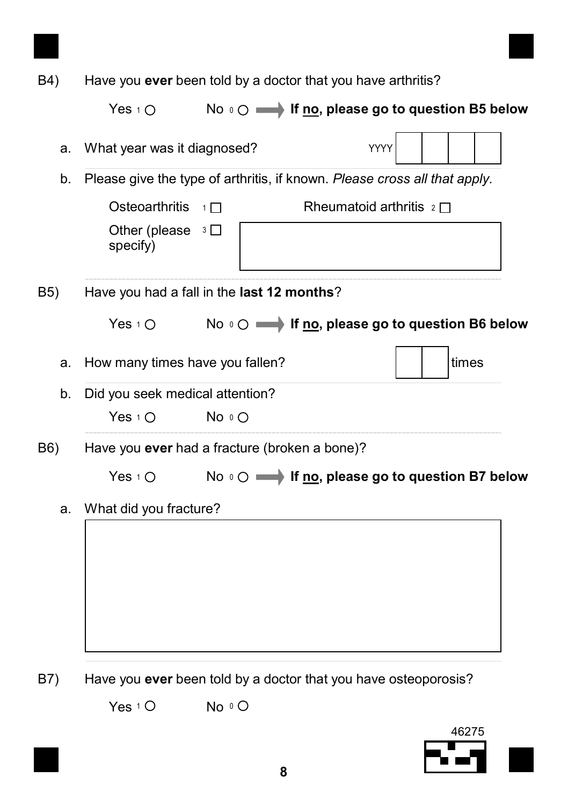| B4)              |                                               |          | Have you ever been told by a doctor that you have arthritis?               |       |
|------------------|-----------------------------------------------|----------|----------------------------------------------------------------------------|-------|
|                  | Yes $1^\circ$ O                               |          | No o c is if no, please go to question B5 below                            |       |
| а.               | What year was it diagnosed?                   |          | YYYY                                                                       |       |
| b.               |                                               |          | Please give the type of arthritis, if known. Please cross all that apply.  |       |
|                  | Osteoarthritis                                | $1 \Box$ | Rheumatoid arthritis $2 \Box$                                              |       |
|                  | Other (please $3\Box$<br>specify)             |          |                                                                            |       |
| B <sub>5</sub> ) | Have you had a fall in the last 12 months?    |          |                                                                            |       |
|                  | Yes $10$                                      |          | No $\circ \bigcirc \longrightarrow$ If no, please go to question B6 below  |       |
| a.               | How many times have you fallen?               |          |                                                                            | times |
| b.               | Did you seek medical attention?               |          |                                                                            |       |
|                  | Yes $1^\circ$ O                               | No O     |                                                                            |       |
| B6)              | Have you ever had a fracture (broken a bone)? |          |                                                                            |       |
|                  | Yes $1\circ$                                  |          | No $\circ$ $\circ$ $\longrightarrow$ If no, please go to question B7 below |       |
| a.               | What did you fracture?                        |          |                                                                            |       |
|                  |                                               |          |                                                                            |       |
| B7)              |                                               |          | Have you ever been told by a doctor that you have osteoporosis?            |       |

Yes  $1^\circ$  No  $\circ$ 



8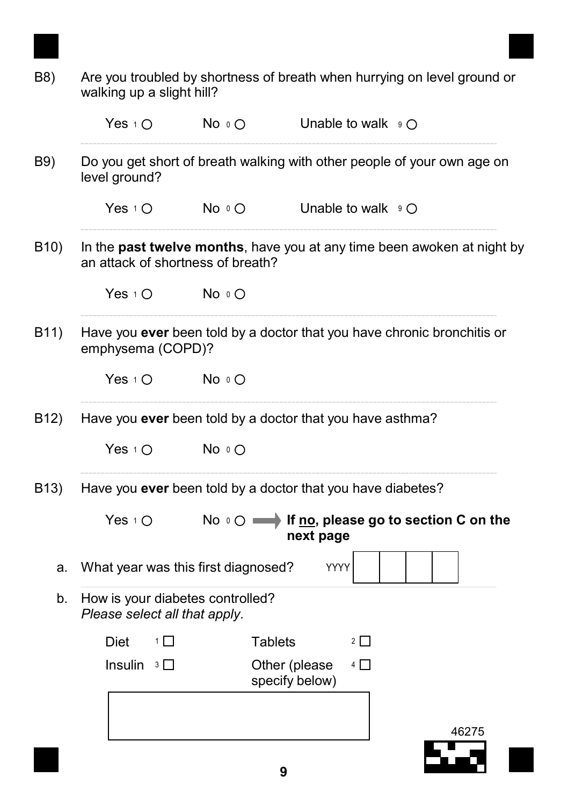| B8)               | walking up a slight hill?                                         |                | Are you troubled by shortness of breath when hurrying on level ground or               |       |
|-------------------|-------------------------------------------------------------------|----------------|----------------------------------------------------------------------------------------|-------|
|                   | Yes $1\circ$                                                      | No $\circ$ O   | Unable to walk $\mathfrak{g} \circ \mathfrak{g}$                                       |       |
| B9)               | level ground?                                                     |                | Do you get short of breath walking with other people of your own age on                |       |
|                   | Yes $1\bigcirc$                                                   | No $\circ$ O   | Unable to walk $\mathfrak{g} \circ \mathfrak{g}$                                       |       |
| B <sub>10</sub> ) | an attack of shortness of breath?                                 |                | In the past twelve months, have you at any time been awoken at night by                |       |
|                   | Yes $1^\circ$                                                     | No o O         |                                                                                        |       |
| B11)              | emphysema (COPD)?                                                 |                | Have you ever been told by a doctor that you have chronic bronchitis or                |       |
|                   | Yes $1^\circ$ O                                                   | No o O         |                                                                                        |       |
| B <sub>12</sub> ) |                                                                   |                | Have you ever been told by a doctor that you have asthma?                              |       |
|                   | Yes $1^\circ$ O                                                   | No O           |                                                                                        |       |
| B <sub>13</sub> ) |                                                                   |                | Have you ever been told by a doctor that you have diabetes?                            |       |
|                   | Yes $1^\circ$                                                     |                | No $\circ$ $\circ$ $\longrightarrow$ If no, please go to section C on the<br>next page |       |
| а.                | What year was this first diagnosed?                               |                | YYYY                                                                                   |       |
| b.                | How is your diabetes controlled?<br>Please select all that apply. |                |                                                                                        |       |
|                   | Diet<br>1                                                         | <b>Tablets</b> | $2 \Box$                                                                               |       |
|                   | Insulin $3 \Box$                                                  |                | Other (please<br>$4\Box$<br>specify below)                                             |       |
|                   |                                                                   |                |                                                                                        |       |
|                   |                                                                   |                |                                                                                        | 46275 |
|                   |                                                                   |                |                                                                                        |       |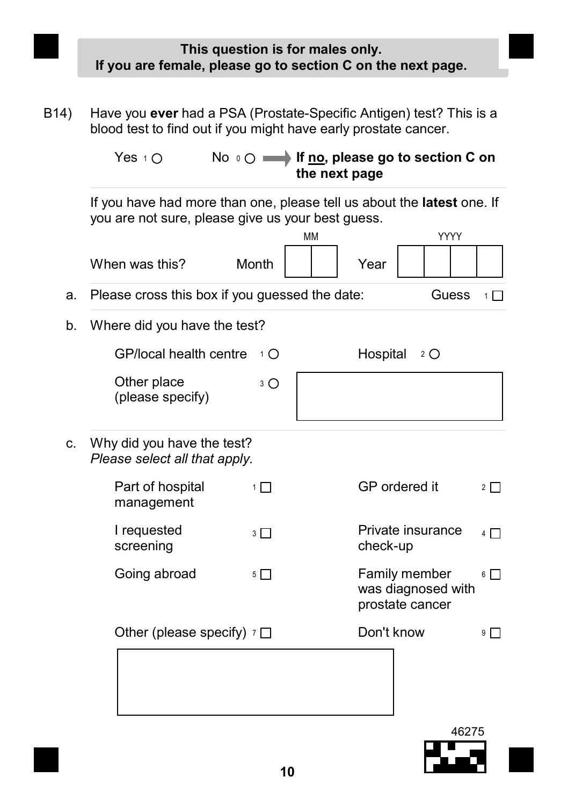This question is for males only. If you are female, please go to section C on the next page.

B14) Have you ever had a PSA (Prostate-Specific Antigen) test? This is a blood test to find out if you might have early prostate cancer.

> Yes  $\pm$  O  $\longrightarrow$  No  $\infty$   $\longrightarrow$  If <u>no</u>, please go to section C on the next page

If you have had more than one, please tell us about the latest one. If you are not sure, please give us your best guess.

|                                                             | <b>MM</b> |            | YYYY                                                   |          |
|-------------------------------------------------------------|-----------|------------|--------------------------------------------------------|----------|
| When was this?                                              | Month     | Year       |                                                        |          |
| Please cross this box if you guessed the date:              |           |            | Guess                                                  | $1 \Box$ |
| Where did you have the test?                                |           |            |                                                        |          |
| GP/local health centre                                      | $1\Omega$ | Hospital   | $2^{\circ}$                                            |          |
| Other place<br>(please specify)                             | 3 O       |            |                                                        |          |
| Why did you have the test?<br>Please select all that apply. |           |            |                                                        |          |
| Part of hospital<br>management                              | $1\Box$   |            | GP ordered it                                          | $2\Box$  |
| I requested<br>screening                                    | $3\Box$   | check-up   | Private insurance                                      | $4\Box$  |
| Going abroad                                                | $5\Box$   |            | Family member<br>was diagnosed with<br>prostate cancer | $6\Box$  |
| Other (please specify) $\tau \Box$                          |           | Don't know |                                                        | 9        |
|                                                             |           |            |                                                        |          |
|                                                             |           |            |                                                        |          |
|                                                             |           |            | 46275                                                  |          |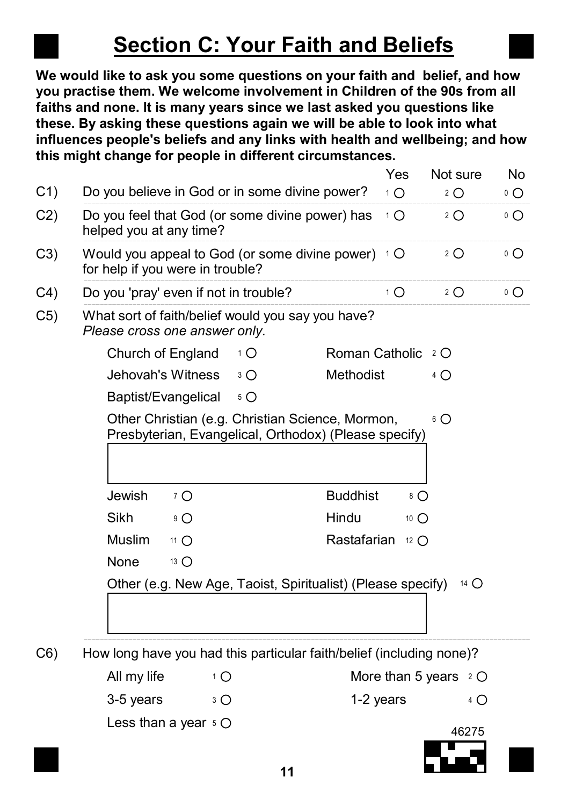## Section C: Your Faith and Beliefs

We would like to ask you some questions on your faith and belief, and how you practise them. We welcome involvement in Children of the 90s from all faiths and none. It is many years since we last asked you questions like these. By asking these questions again we will be able to look into what influences people's beliefs and any links with health and wellbeing; and how this might change for people in different circumstances.

| C <sub>1</sub> | Do you believe in God or in some divine power?                                                            |             |                 | Yes<br>$1^1$ $\bigcirc$ | Not sure<br>$2^{\circ}$ | No<br>$\circ$ O |
|----------------|-----------------------------------------------------------------------------------------------------------|-------------|-----------------|-------------------------|-------------------------|-----------------|
| C <sub>2</sub> | Do you feel that God (or some divine power) has<br>helped you at any time?                                |             |                 | $1\bigcap$              | $2^{\circ}$             | $\circ$ O       |
| C3)            | Would you appeal to God (or some divine power) $\pm$ O<br>for help if you were in trouble?                |             |                 |                         | $2^{\circ}$             | $\circ$ $\circ$ |
| C <sub>4</sub> | Do you 'pray' even if not in trouble?                                                                     |             |                 | 1 O                     | $2^{\circ}$             | $\circ$ O       |
| C5)            | What sort of faith/belief would you say you have?<br>Please cross one answer only.                        |             |                 |                         |                         |                 |
|                | Church of England                                                                                         | 1 O         | Roman Catholic  |                         | 2 O                     |                 |
|                | Jehovah's Witness                                                                                         | $3^{\circ}$ | Methodist       |                         | $4\bigcirc$             |                 |
|                | Baptist/Evangelical                                                                                       | $5^{\circ}$ |                 |                         |                         |                 |
|                | Other Christian (e.g. Christian Science, Mormon,<br>Presbyterian, Evangelical, Orthodox) (Please specify) |             |                 |                         | 6 O                     |                 |
|                | Jewish<br>7 O                                                                                             |             | <b>Buddhist</b> | 8 O                     |                         |                 |
|                | Sikh<br>$9^\circ$                                                                                         |             | Hindu           | 10 $\bigcirc$           |                         |                 |
|                | <b>Muslim</b><br>11 O                                                                                     |             | Rastafarian     | 12 $\bigcap$            |                         |                 |
|                | None<br>13 $\bigcirc$                                                                                     |             |                 |                         |                         |                 |
|                | Other (e.g. New Age, Taoist, Spiritualist) (Please specify)                                               |             |                 |                         | 14 $\bigcap$            |                 |
| C6)            | How long have you had this particular faith/belief (including none)?                                      |             |                 |                         |                         |                 |
|                |                                                                                                           |             |                 |                         |                         |                 |

All my life  $1^2$   $\circ$   $\circ$  More than 5 years  $2$ 

 $3-5$  years  $3\text{ O}$  1-2 years  $4$ Less than a year 5

46275

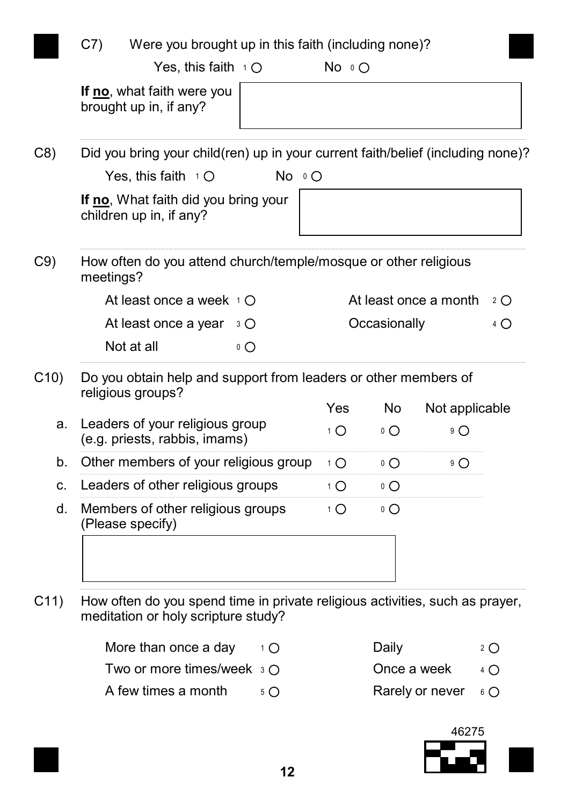|           |                                                                                      | Were you brought up in this faith (including none)? |              |                 |                       |             |
|-----------|--------------------------------------------------------------------------------------|-----------------------------------------------------|--------------|-----------------|-----------------------|-------------|
|           | Yes, this faith $\pm$ O                                                              |                                                     | $No \circ O$ |                 |                       |             |
|           | If no, what faith were you<br>brought up in, if any?                                 |                                                     |              |                 |                       |             |
|           | Did you bring your child(ren) up in your current faith/belief (including none)?      |                                                     |              |                 |                       |             |
|           | Yes, this faith $\pm$ O                                                              | No 00                                               |              |                 |                       |             |
|           | If no, What faith did you bring your<br>children up in, if any?                      |                                                     |              |                 |                       |             |
| meetings? | How often do you attend church/temple/mosque or other religious                      |                                                     |              |                 |                       |             |
|           | At least once a week $\pm \bigcirc$                                                  |                                                     |              |                 | At least once a month | $2^{\circ}$ |
|           | At least once a year                                                                 | 3 O                                                 |              | Occasionally    |                       | $4\bigcirc$ |
|           | Not at all                                                                           | $\circ$ $\circ$                                     |              |                 |                       |             |
|           | Do you obtain help and support from leaders or other members of<br>religious groups? |                                                     |              |                 |                       |             |
|           |                                                                                      |                                                     |              |                 |                       |             |
|           |                                                                                      |                                                     | Yes          | <b>No</b>       | Not applicable        |             |
|           | Leaders of your religious group<br>(e.g. priests, rabbis, imams)                     |                                                     | $1\bigcap$   | $\circ$ $\circ$ | $9^\circ$             |             |
|           | Other members of your religious group                                                |                                                     | $1^{\circ}$  | $0^\circ$       | $9^\circ$             |             |
|           | Leaders of other religious groups                                                    |                                                     | $1^{\circ}$  | $0\Omega$       |                       |             |
|           | Members of other religious groups<br>(Please specify)                                |                                                     | $1\bigcirc$  | $\circ$ $\circ$ |                       |             |

C11) How often do you spend time in private religious activities, such as prayer, meditation or holy scripture study?

| More than once a day $\Box$ $\Box$                 |            | Daily                           | $2^{\circ}$ |
|----------------------------------------------------|------------|---------------------------------|-------------|
| Two or more times/week $\,$ $\,$ $\rm{3}$ $\rm{O}$ |            | Once a week $\Box$ 4 $\bigcirc$ |             |
| A few times a month                                | $5\bigcap$ | Rarely or never $60$            |             |

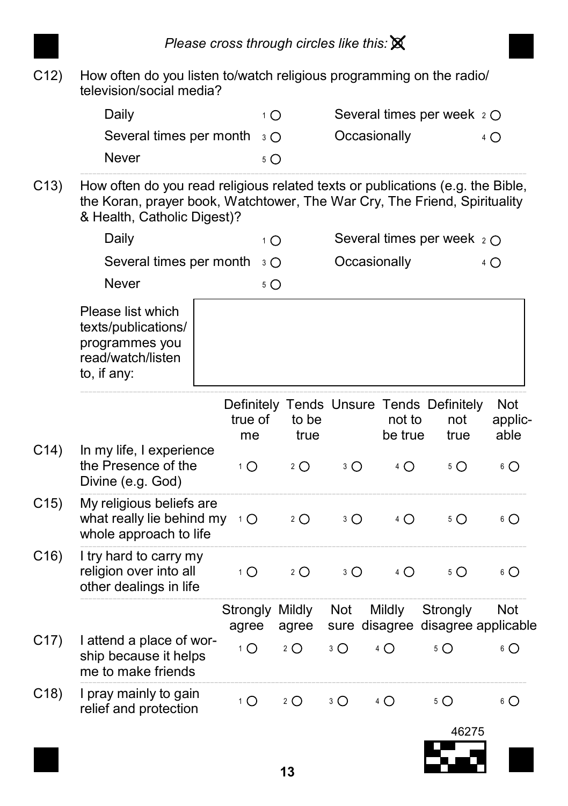C12) How often do you listen to/watch religious programming on the radio/ television/social media?

| Daily                                | Several times per week $2 \circ$ |  |
|--------------------------------------|----------------------------------|--|
| Several times per month $\sqrt{3}$ O | Occasionally                     |  |
| Never                                |                                  |  |
|                                      |                                  |  |

C13) How often do you read religious related texts or publications (e.g. the Bible, the Koran, prayer book, Watchtower, The War Cry, The Friend, Spirituality & Health, Catholic Digest)?

|                 | Daily                                                                                          | $1^1$ $\bigcirc$         |               |              |                   | Several times per week $2 \bigcirc$                     |                        |
|-----------------|------------------------------------------------------------------------------------------------|--------------------------|---------------|--------------|-------------------|---------------------------------------------------------|------------------------|
|                 | Several times per month                                                                        | $3^{\circ}$              |               | Occasionally |                   |                                                         | 4 O                    |
|                 | <b>Never</b>                                                                                   | $5^{\circ}$              |               |              |                   |                                                         |                        |
|                 | Please list which<br>texts/publications/<br>programmes you<br>read/watch/listen<br>to, if any: |                          |               |              |                   |                                                         |                        |
|                 |                                                                                                | true of<br>me            | to be<br>true |              | not to<br>be true | Definitely Tends Unsure Tends Definitely<br>not<br>true | Not<br>applic-<br>able |
| C <sub>14</sub> | In my life, I experience<br>the Presence of the<br>Divine (e.g. God)                           | $1^1$ $\bigcirc$         | $2^{\circ}$   | $3^{\circ}$  | 4 O               | $5^{\circ}$                                             | $6\bigcirc$            |
| C <sub>15</sub> | My religious beliefs are<br>what really lie behind my<br>whole approach to life                | $1^{\circ}$              | $2^{\circ}$   | $3^{\circ}$  | $4\circ$          | $5^{\circ}$                                             | $6\bigcirc$            |
| C16)            | I try hard to carry my<br>religion over into all<br>other dealings in life                     | $1^{\circ}$              | $2^{\circ}$   | $3^{\circ}$  | $4\circ$          | $5^{\circ}$                                             | $6\bigcirc$            |
|                 |                                                                                                | Strongly Mildly<br>agree | agree         | Not          | Mildly            | Strongly<br>sure disagree disagree applicable           | Not                    |
| C <sub>17</sub> | I attend a place of wor-<br>ship because it helps<br>me to make friends                        | $1^{\circ}$              | $2^{\circ}$   | $3^{\circ}$  | $4^\circ$         | $5^{\circ}$                                             | $6\bigcirc$            |
| C <sub>18</sub> | I pray mainly to gain<br>relief and protection                                                 | $1^{\circ}$              | $2^{\circ}$   | $3^{\circ}$  | 4 O               | $5^{\circ}$                                             | 6 O                    |
|                 |                                                                                                |                          |               |              |                   | 46275                                                   |                        |

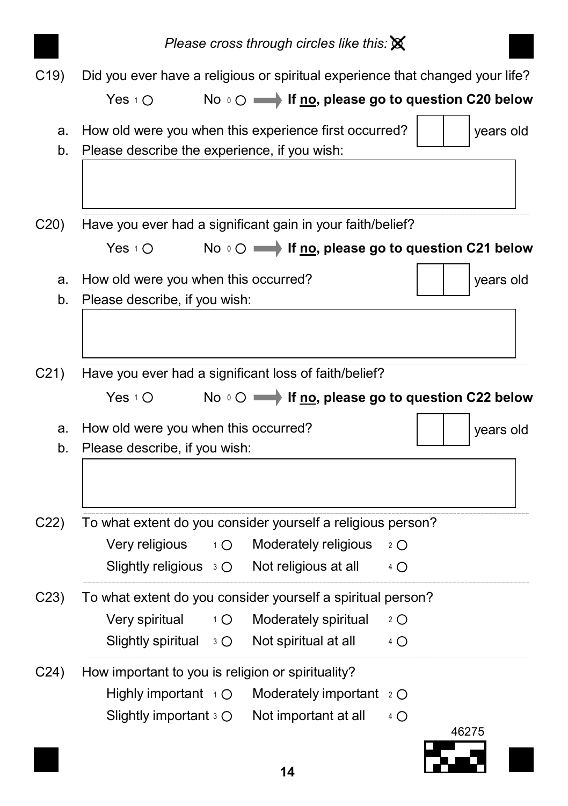|                 |                                                                                                       | Please cross through circles like this: $\mathbb X$                         |             |           |  |
|-----------------|-------------------------------------------------------------------------------------------------------|-----------------------------------------------------------------------------|-------------|-----------|--|
| C <sub>19</sub> | Did you ever have a religious or spiritual experience that changed your life?<br>Yes $1\circ$         | No $\circ$ $\circ$ $\longrightarrow$ If no, please go to question C20 below |             |           |  |
| a.<br>b.        | How old were you when this experience first occurred?<br>Please describe the experience, if you wish: |                                                                             |             | years old |  |
| C20             | Have you ever had a significant gain in your faith/belief?                                            |                                                                             |             |           |  |
|                 | Yes $1\circlearrowright$                                                                              | No o ○ <del>■</del> If no, please go to question C21 below                  |             |           |  |
| a.<br>b.        | How old were you when this occurred?<br>Please describe, if you wish:                                 |                                                                             |             | years old |  |
| C <sub>21</sub> | Have you ever had a significant loss of faith/belief?<br>Yes $10$                                     | No $\circ$ $\circ$ $\longrightarrow$ If no, please go to question C22 below |             |           |  |
| a.              | How old were you when this occurred?                                                                  |                                                                             |             | years old |  |
| b.              | Please describe, if you wish:                                                                         |                                                                             |             |           |  |
| C <sub>22</sub> | To what extent do you consider yourself a religious person?                                           |                                                                             |             |           |  |
|                 | Very religious<br>$1^{\circ}$                                                                         | Moderately religious                                                        | $2^{\circ}$ |           |  |
|                 | Slightly religious $\overline{3}$ O                                                                   | Not religious at all                                                        | 4 O         |           |  |
| C <sub>23</sub> | To what extent do you consider yourself a spiritual person?                                           |                                                                             |             |           |  |
|                 | Very spiritual<br>$1^{\circ}$                                                                         | Moderately spiritual                                                        | $2^{\circ}$ |           |  |
|                 | Slightly spiritual<br>$3^{\circ}$                                                                     | Not spiritual at all                                                        | 4 O         |           |  |
| C <sub>24</sub> | How important to you is religion or spirituality?                                                     |                                                                             |             |           |  |
|                 | Highly important $\rightarrow$ O                                                                      | Moderately important 2 O                                                    |             |           |  |
|                 | Slightly important 3 O                                                                                | Not important at all                                                        | 4 O         |           |  |
|                 |                                                                                                       |                                                                             |             | 46275     |  |
|                 |                                                                                                       | 14                                                                          |             |           |  |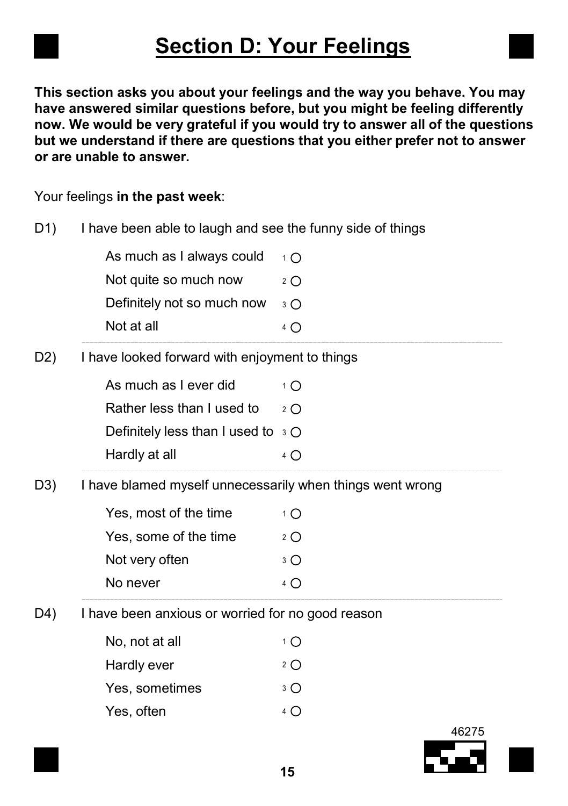## Section D: Your Feelings

This section asks you about your feelings and the way you behave. You may have answered similar questions before, but you might be feeling differently now. We would be very grateful if you would try to answer all of the questions but we understand if there are questions that you either prefer not to answer or are unable to answer.

Your feelings in the past week:

| D1)              | I have been able to laugh and see the funny side of things |                  |       |  |  |
|------------------|------------------------------------------------------------|------------------|-------|--|--|
|                  | As much as I always could                                  | $1^{\circ}$      |       |  |  |
|                  | Not quite so much now                                      | $2^{\circ}$      |       |  |  |
|                  | Definitely not so much now                                 | $3^\circ$        |       |  |  |
|                  | Not at all                                                 | 4 O              |       |  |  |
| D <sub>2</sub> ) | I have looked forward with enjoyment to things             |                  |       |  |  |
|                  | As much as I ever did                                      | $1^1$ $\bigcirc$ |       |  |  |
|                  | Rather less than I used to                                 | $2^{\circ}$      |       |  |  |
|                  | Definitely less than I used to $\sqrt{3}$ O                |                  |       |  |  |
|                  | Hardly at all                                              | 4 O              |       |  |  |
| D3)              | I have blamed myself unnecessarily when things went wrong  |                  |       |  |  |
|                  | Yes, most of the time                                      | $1^1$ $\bigcirc$ |       |  |  |
|                  | Yes, some of the time                                      | $2^{\circ}$      |       |  |  |
|                  | Not very often                                             | $3^{\circ}$      |       |  |  |
|                  | No never                                                   | 4 O              |       |  |  |
| D4)              | I have been anxious or worried for no good reason          |                  |       |  |  |
|                  | No, not at all                                             | 1 O              |       |  |  |
|                  | Hardly ever                                                | $2^{\circ}$      |       |  |  |
|                  | Yes, sometimes                                             | $3^{\circ}$      |       |  |  |
|                  | Yes, often                                                 | $4^\circ$        |       |  |  |
|                  |                                                            |                  | 46275 |  |  |

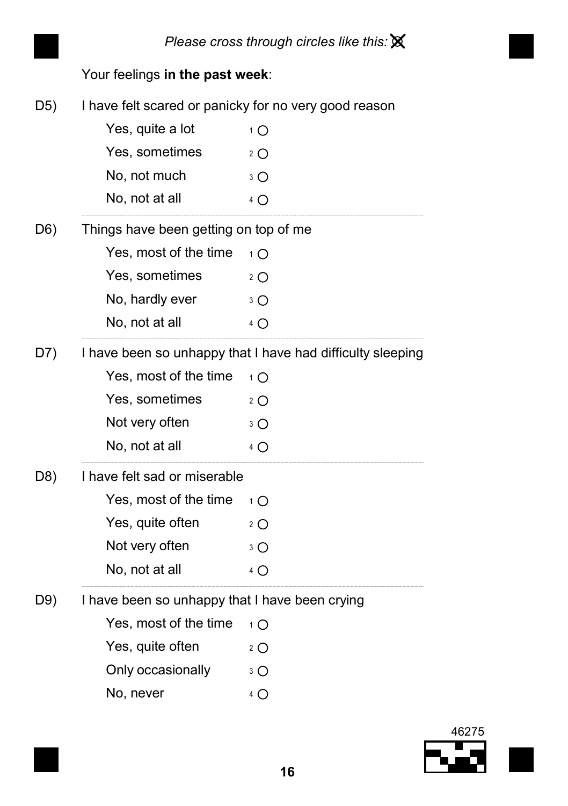

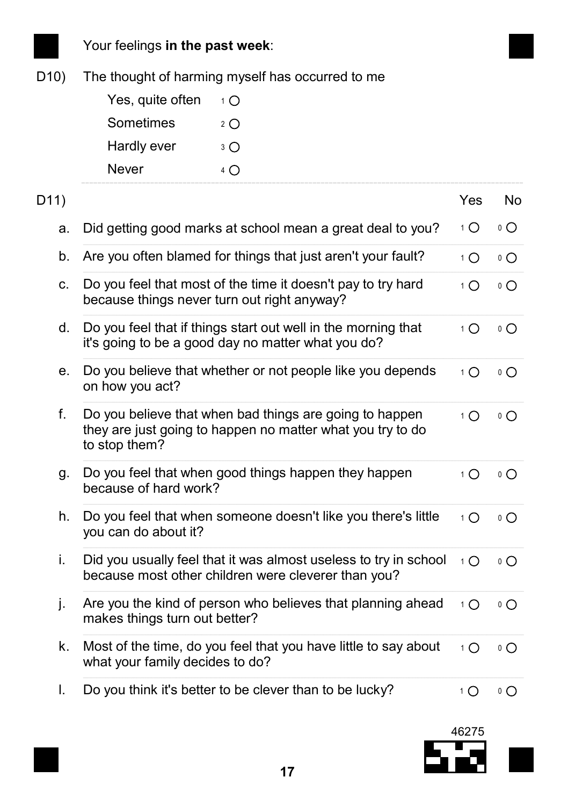

## Your feelings in the past week:

D10) The thought of harming myself has occurred to me

| Yes, quite often | 1 O         |
|------------------|-------------|
| Sometimes        | 2 $\bigcap$ |
| Hardly ever      | 3 ∩         |
| Never            | $4\bigcap$  |

| D11) |                                                                                                                                        | Yes         | No              |
|------|----------------------------------------------------------------------------------------------------------------------------------------|-------------|-----------------|
| a.   | Did getting good marks at school mean a great deal to you?                                                                             | $1^{\circ}$ | $\circ$ $\circ$ |
| b.   | Are you often blamed for things that just aren't your fault?                                                                           | $1\bigcap$  | $\circ$ $\circ$ |
| c.   | Do you feel that most of the time it doesn't pay to try hard<br>because things never turn out right anyway?                            | $1\bigcap$  | $\circ$ $\circ$ |
| d.   | Do you feel that if things start out well in the morning that<br>it's going to be a good day no matter what you do?                    | $1\Omega$   | $\circ$ $\circ$ |
| е.   | Do you believe that whether or not people like you depends<br>on how you act?                                                          | $1\bigcap$  | $\circ$ $\circ$ |
| f.   | Do you believe that when bad things are going to happen<br>they are just going to happen no matter what you try to do<br>to stop them? | $1\Omega$   | $\circ$ $\circ$ |
| g.   | Do you feel that when good things happen they happen<br>because of hard work?                                                          | $1\bigcap$  | $\circ$ $\circ$ |
| h.   | Do you feel that when someone doesn't like you there's little<br>you can do about it?                                                  | $1\bigcap$  | $\circ$ $\circ$ |
| i.   | Did you usually feel that it was almost useless to try in school<br>because most other children were cleverer than you?                | $1\bigcap$  | $\circ$ $\circ$ |
| j.   | Are you the kind of person who believes that planning ahead<br>makes things turn out better?                                           | $1\bigcirc$ | $\circ$ $\circ$ |
| k.   | Most of the time, do you feel that you have little to say about<br>what your family decides to do?                                     | $1\bigcap$  | $\circ$ $\circ$ |
| I.   | Do you think it's better to be clever than to be lucky?                                                                                | 1 O         | 0 O             |

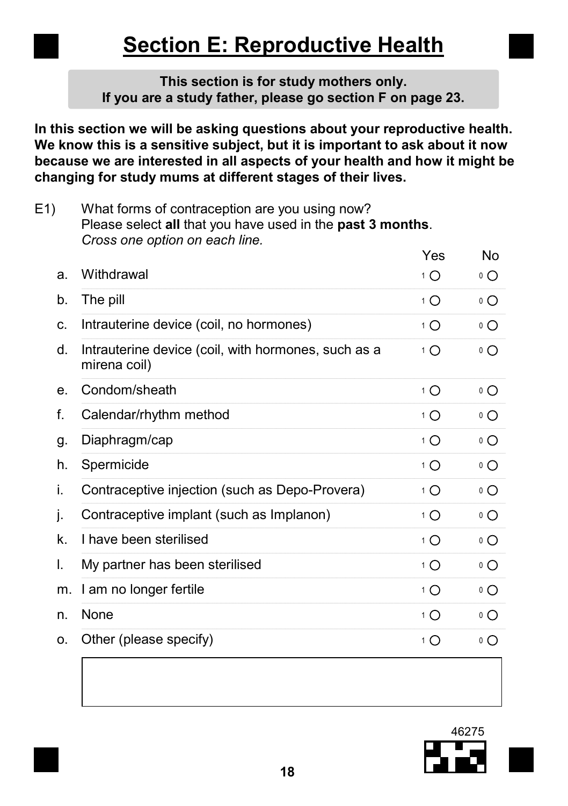## Section E: Reproductive Health

#### This section is for study mothers only. If you are a study father, please go section F on page 23.

In this section we will be asking questions about your reproductive health. We know this is a sensitive subject, but it is important to ask about it now because we are interested in all aspects of your health and how it might be changing for study mums at different stages of their lives.

E1) What forms of contraception are you using now? Please select all that you have used in the past 3 months. Cross one option on each line.

|    |                                                                     | Yes         | No              |
|----|---------------------------------------------------------------------|-------------|-----------------|
| a. | Withdrawal                                                          | 1 O         | $\circ$ $\circ$ |
| b. | The pill                                                            | $1\bigcap$  | $\circ$ $\circ$ |
| c. | Intrauterine device (coil, no hormones)                             | 1 O         | $\circ$ $\circ$ |
| d. | Intrauterine device (coil, with hormones, such as a<br>mirena coil) | $1\Omega$   | $\circ$ O       |
| е. | Condom/sheath                                                       | $1\bigcap$  | $\circ$ O       |
| f. | Calendar/rhythm method                                              | $1\Omega$   | $\circ$ $\circ$ |
| g. | Diaphragm/cap                                                       | $1\Omega$   | $\circ$ $\circ$ |
| h. | Spermicide                                                          | $1\Omega$   | $\circ$ $\circ$ |
| İ. | Contraceptive injection (such as Depo-Provera)                      | $1^{\circ}$ | $\circ$ $\circ$ |
| ı. | Contraceptive implant (such as Implanon)                            | 1 O         | $\circ$ $\circ$ |
| k. | I have been sterilised                                              | $1\bigcap$  | $\circ$ $\circ$ |
| I. | My partner has been sterilised                                      | $1\bigcap$  | $\circ$ $\circ$ |
| m. | I am no longer fertile                                              | $1\bigcap$  | $\circ$ $\circ$ |
| n. | None                                                                | $1\Omega$   | $\circ$ $\circ$ |
| 0. | Other (please specify)                                              | 1 O         | ٥O              |

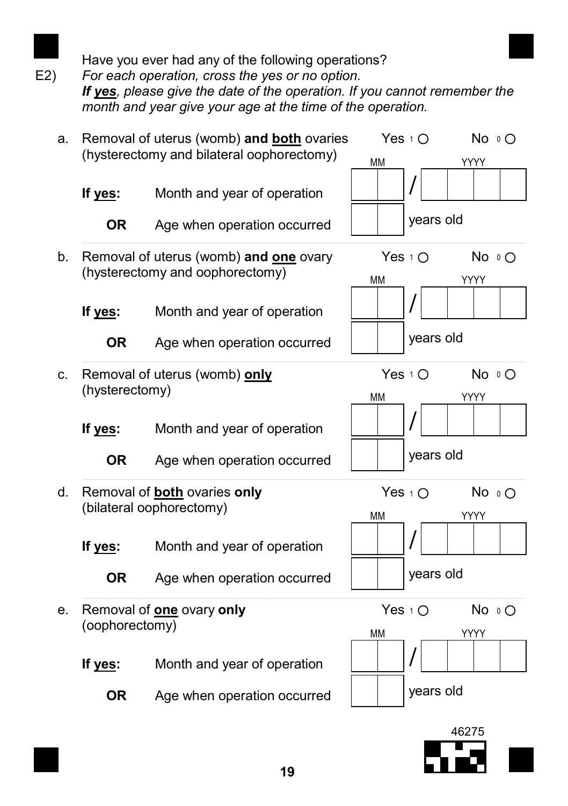

Have you ever had any of the following operations?

E2) For each operation, cross the yes or no option. If ves, please give the date of the operation. If you cannot remember the month and year give your age at the time of the operation.

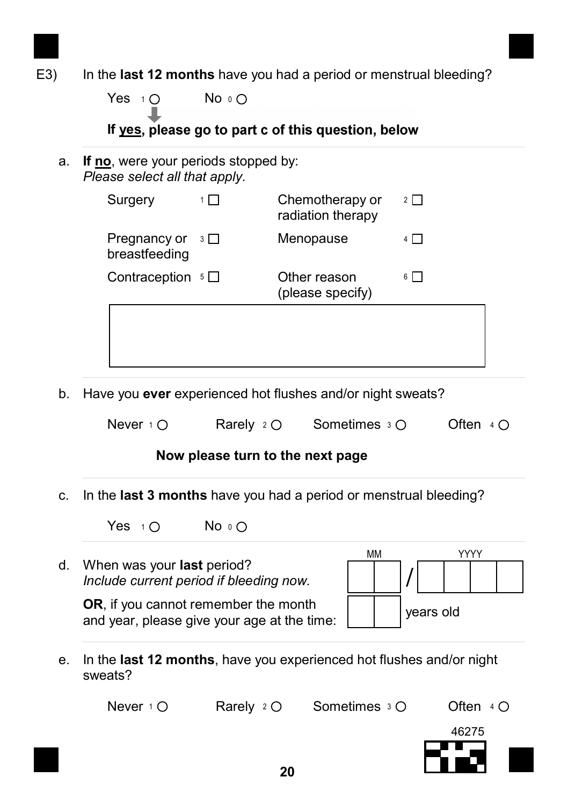

Yes  $1^\circ$  $No \circ O$ 

If yes, please go to part c of this question, below

a. If no, were your periods stopped by: Please select all that apply.

| Surgery                       |          | Chemotherapy or<br>radiation therapy | $2 \mid$ |
|-------------------------------|----------|--------------------------------------|----------|
| Pregnancy or<br>breastfeeding | $3 \Box$ | Menopause                            |          |
| Contraception $5\Box$         |          | Other reason<br>(please specify)     | 6        |
|                               |          |                                      |          |
|                               |          |                                      |          |

b. Have you **ever** experienced hot flushes and/or night sweats?

| Never $1 \circ$<br>Rarely $2 \circlearrowright$ | Sometimes $3 \circ$ | Often $4O$ |
|-------------------------------------------------|---------------------|------------|
|-------------------------------------------------|---------------------|------------|

#### Now please turn to the next page

c. In the last 3 months have you had a period or menstrual bleeding?

Yes  $10$  No  $0$ 

d. When was your last period? Include current period if bleeding now.

OR, if you cannot remember the month and year, please give your age at the time:



e. In the last 12 months, have you experienced hot flushes and/or night sweats?

Never  $1^1$  O  $\leq$  Rarely  $2^1$  O  $\leq$  Sometimes  $3^1$  Often  $4$ 

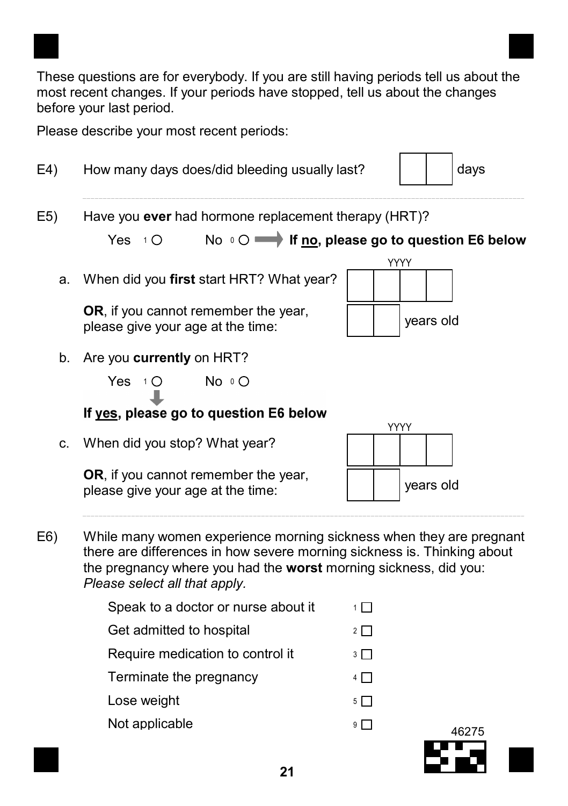These questions are for everybody. If you are still having periods tell us about the most recent changes. If your periods have stopped, tell us about the changes before your last period.

Please describe your most recent periods:

| E4) | How many days does/did bleeding usually last?<br>days                                                                                                                                                                                               |                                                     |  |  |  |
|-----|-----------------------------------------------------------------------------------------------------------------------------------------------------------------------------------------------------------------------------------------------------|-----------------------------------------------------|--|--|--|
| E5) | Have you ever had hormone replacement therapy (HRT)?                                                                                                                                                                                                |                                                     |  |  |  |
|     | Yes $1$ O                                                                                                                                                                                                                                           | No O ighthall If no, please go to question E6 below |  |  |  |
| a.  | When did you first start HRT? What year?                                                                                                                                                                                                            | YYYY                                                |  |  |  |
|     | OR, if you cannot remember the year,<br>please give your age at the time:                                                                                                                                                                           | years old                                           |  |  |  |
|     | b. Are you currently on HRT?                                                                                                                                                                                                                        |                                                     |  |  |  |
|     | No O<br>Yes $10$                                                                                                                                                                                                                                    |                                                     |  |  |  |
|     | If yes, please go to question E6 below                                                                                                                                                                                                              |                                                     |  |  |  |
| C.  | When did you stop? What year?                                                                                                                                                                                                                       | YYYY                                                |  |  |  |
|     | OR, if you cannot remember the year,<br>please give your age at the time:                                                                                                                                                                           | years old                                           |  |  |  |
| E6) | While many women experience morning sickness when they are pregnant<br>there are differences in how severe morning sickness is. Thinking about<br>the pregnancy where you had the worst morning sickness, did you:<br>Please select all that apply. |                                                     |  |  |  |
|     | Speak to a doctor or nurse about it                                                                                                                                                                                                                 | $1\Box$                                             |  |  |  |
|     | Get admitted to hospital                                                                                                                                                                                                                            | $2 \Box$                                            |  |  |  |
|     | Require medication to control it                                                                                                                                                                                                                    | $3 \Box$                                            |  |  |  |
|     | Terminate the pregnancy                                                                                                                                                                                                                             | $4\Box$                                             |  |  |  |
|     | Lose weight                                                                                                                                                                                                                                         | $5\Box$                                             |  |  |  |
|     | Not applicable                                                                                                                                                                                                                                      | 9   I<br>46275                                      |  |  |  |

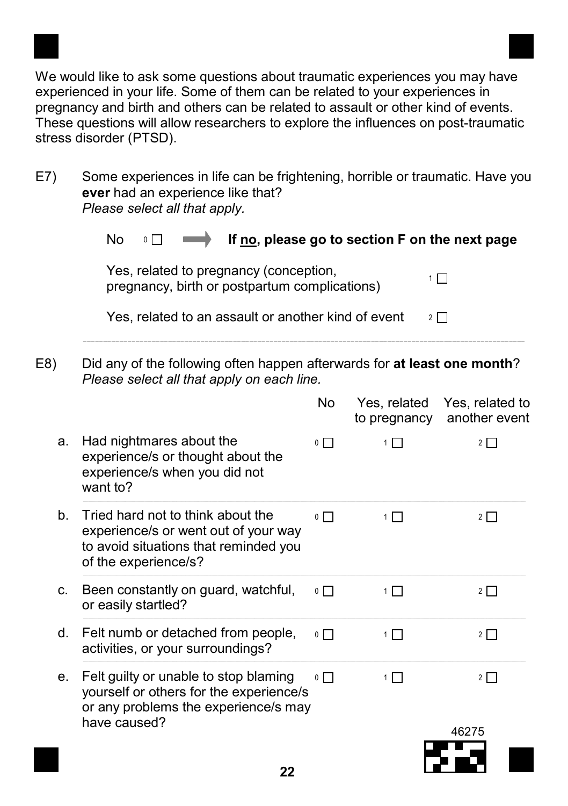We would like to ask some questions about traumatic experiences you may have experienced in your life. Some of them can be related to your experiences in pregnancy and birth and others can be related to assault or other kind of events. These questions will allow researchers to explore the influences on post-traumatic stress disorder (PTSD).

E7) Some experiences in life can be frightening, horrible or traumatic. Have you ever had an experience like that? Please select all that apply.

|     | No<br>If no, please go to section F on the next page<br>$0\Box$                                                                            |                |                              |                                  |  |  |
|-----|--------------------------------------------------------------------------------------------------------------------------------------------|----------------|------------------------------|----------------------------------|--|--|
|     | Yes, related to pregnancy (conception,<br>$1\Box$<br>pregnancy, birth or postpartum complications)                                         |                |                              |                                  |  |  |
|     | Yes, related to an assault or another kind of event                                                                                        |                |                              | $2 \mid \cdot \mid$              |  |  |
| E8) | Did any of the following often happen afterwards for at least one month?<br>Please select all that apply on each line.                     |                |                              |                                  |  |  |
|     |                                                                                                                                            | No             | Yes, related<br>to pregnancy | Yes, related to<br>another event |  |  |
| a.  | Had nightmares about the<br>experience/s or thought about the<br>experience/s when you did not<br>want to?                                 | $\circ \Box$   | $1\Box$                      | $2\Box$                          |  |  |
| b.  | Tried hard not to think about the<br>experience/s or went out of your way<br>to avoid situations that reminded you<br>of the experience/s? | $\circ$ $\Box$ | $1\Box$                      | $2\Box$                          |  |  |
| C.  | Been constantly on guard, watchful,<br>or easily startled?                                                                                 | $0$ $\Box$     | $1\Box$                      | $2\Box$                          |  |  |
| d.  | Felt numb or detached from people,<br>activities, or your surroundings?                                                                    | $\circ$ $\Box$ | $1\Box$                      | $2\Box$                          |  |  |
| е.  | Felt guilty or unable to stop blaming<br>yourself or others for the experience/s<br>or any problems the experience/s may<br>have caused?   | $\circ$ $\Box$ | $1\Box$                      | $2\Box$                          |  |  |
|     |                                                                                                                                            |                |                              | 46275                            |  |  |
|     |                                                                                                                                            |                |                              |                                  |  |  |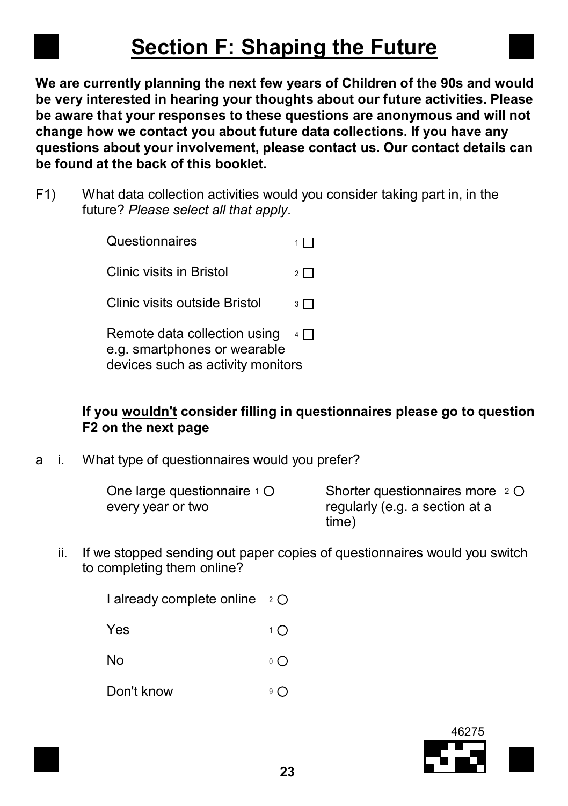## Section F: Shaping the Future

We are currently planning the next few years of Children of the 90s and would be very interested in hearing your thoughts about our future activities. Please be aware that your responses to these questions are anonymous and will not change how we contact you about future data collections. If you have any questions about your involvement, please contact us. Our contact details can be found at the back of this booklet.

F1) What data collection activities would you consider taking part in, in the future? Please select all that apply.

> **Questionnaires** Clinic visits in Bristol Clinic visits outside Bristol Remote data collection using e.g. smartphones or wearable  $1\Box$  $2\Box$  $3\Box$  $4\Box$

devices such as activity monitors

#### If you wouldn't consider filling in questionnaires please go to question F2 on the next page

a i. What type of questionnaires would you prefer?

| One large questionnaire $1 \circlearrowright$ | Shorter questionnaires more $2^{\circ}$ |
|-----------------------------------------------|-----------------------------------------|
| every year or two                             | regularly (e.g. a section at a          |
|                                               | time)                                   |

ii. If we stopped sending out paper copies of questionnaires would you switch to completing them online?

I already complete online 2



No  $\circ$   $\circ$ 

Don't know  $9^\circ$ 

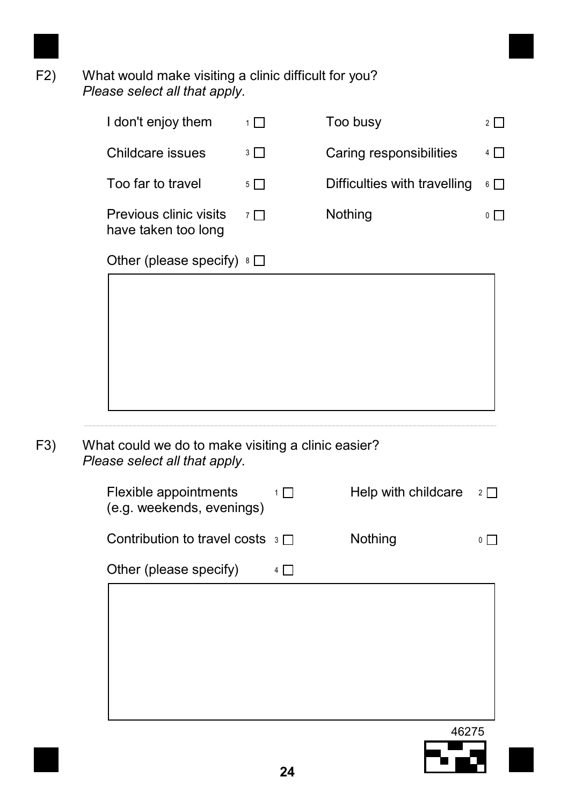

#### F2) What would make visiting a clinic difficult for you? Please select all that apply.

|                                                                                     | $1\Box$ | Too busy                     | $2\Box$                   |
|-------------------------------------------------------------------------------------|---------|------------------------------|---------------------------|
| Childcare issues                                                                    | $3\Box$ | Caring responsibilities      | 4 □                       |
| Too far to travel                                                                   | $5\Box$ | Difficulties with travelling | $6\Box$                   |
| Previous clinic visits<br>have taken too long                                       | $7\Box$ | Nothing                      | ◦⊓                        |
| Other (please specify) $8 \square$                                                  |         |                              |                           |
|                                                                                     |         |                              |                           |
|                                                                                     |         |                              |                           |
|                                                                                     |         |                              |                           |
|                                                                                     |         |                              |                           |
| What could we do to make visiting a clinic easier?<br>Please select all that apply. |         |                              |                           |
| Flexible appointments                                                               | $1\Box$ | Help with childcare          |                           |
| (e.g. weekends, evenings)                                                           |         |                              |                           |
| Contribution to travel costs $\sqrt{3}$                                             |         | Nothing                      | $2\Box$<br>$\circ$ $\Box$ |

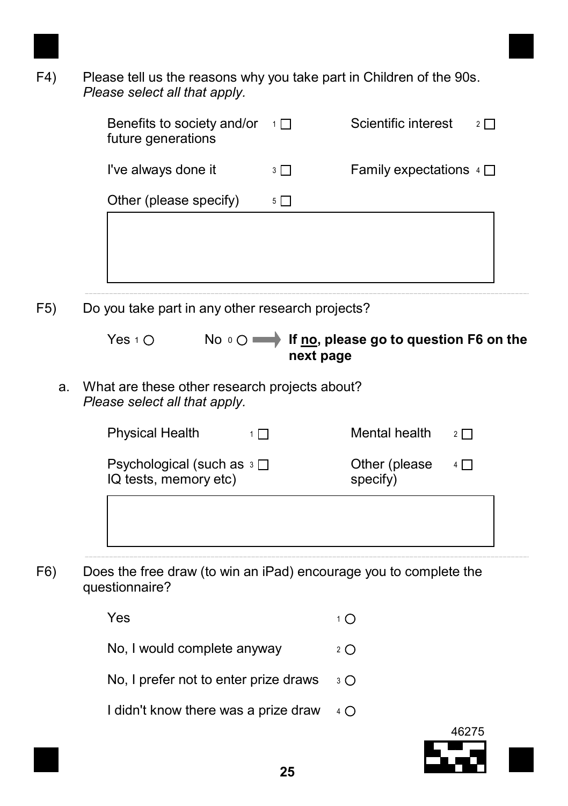

F4) Please tell us the reasons why you take part in Children of the 90s. Please select all that apply.

| Benefits to society and/or<br>future generations | $-1\Box$ | Scientific interest        |
|--------------------------------------------------|----------|----------------------------|
| I've always done it                              | $3 \mid$ | Family expectations $\Box$ |
| Other (please specify)                           | 5 I      |                            |
|                                                  |          |                            |
|                                                  |          |                            |

F5) Do you take part in any other research projects?

| Yes $1^\circ$ O | No $\circ$ O $\longrightarrow$ If no, please go to question F6 on the |
|-----------------|-----------------------------------------------------------------------|
|                 | next page                                                             |

a. What are these other research projects about? Please select all that apply.

| Physical Health | $1\Box$ | Mental health | $2 \Box$ |
|-----------------|---------|---------------|----------|
|                 |         |               |          |

| Psychological (such as $\sqrt{3}$ $\Box$<br>IQ tests, memory etc) | Other (please)<br>specify) | $4\Box$ |
|-------------------------------------------------------------------|----------------------------|---------|
|                                                                   |                            |         |

F6) Does the free draw (to win an iPad) encourage you to complete the questionnaire?

| Yes                                          | 1 O          |
|----------------------------------------------|--------------|
| No, I would complete anyway                  | 2 $\bigcirc$ |
| No, I prefer not to enter prize draws $\Box$ |              |
| I didn't know there was a prize draw         | $4^\circ$    |



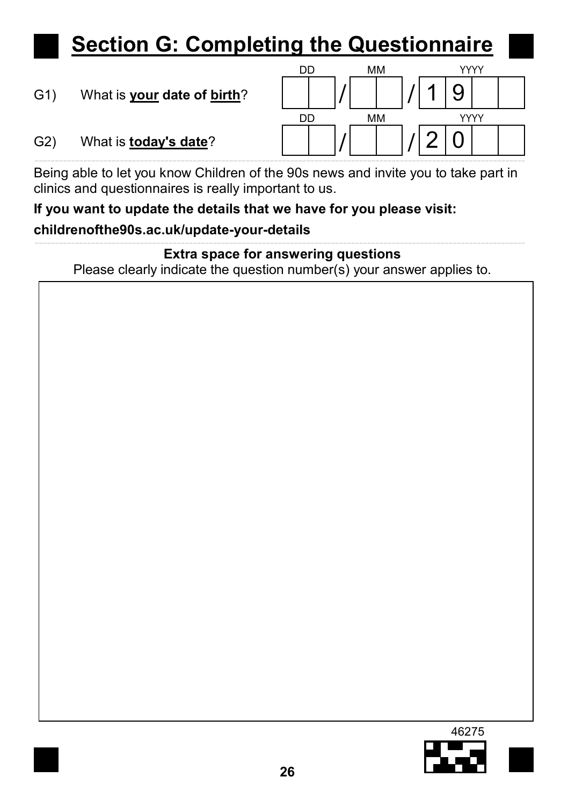## Section G: Completing the Questionnaire

G1) What is your date of birth?



G2) What is today's date?

Being able to let you know Children of the 90s news and invite you to take part in clinics and questionnaires is really important to us.

## If you want to update the details that we have for you please visit: childrenofthe90s.ac.uk/update-your-details

Extra space for answering questions Please clearly indicate the question number(s) your answer applies to.